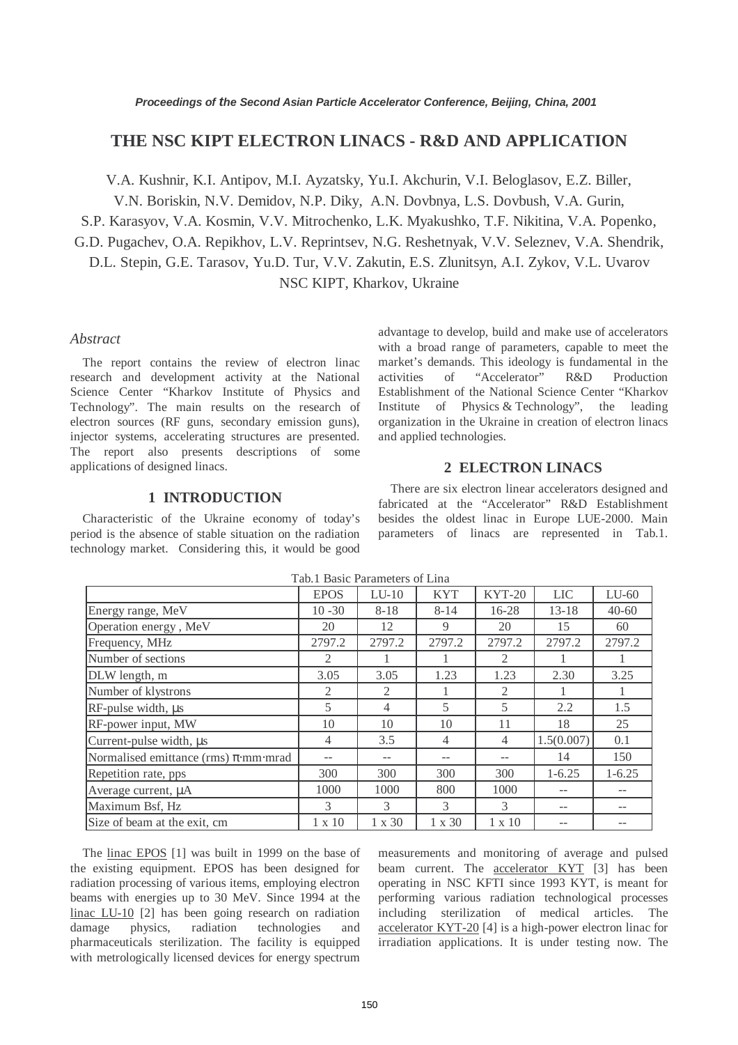# **THE NSC KIPT ELECTRON LINACS - R&D AND APPLICATION**

V.A. Kushnir, K.I. Antipov, M.I. Ayzatsky, Yu.I. Akchurin, V.I. Beloglasov, E.Z. Biller,

V.N. Boriskin, N.V. Demidov, N.P. Diky, A.N. Dovbnya, L.S. Dovbush, V.A. Gurin,

S.P. Karasyov, V.A. Kosmin, V.V. Mitrochenko, L.K. Myakushko, T.F. Nikitina, V.A. Popenko,

G.D. Pugachev, O.A. Repikhov, L.V. Reprintsev, N.G. Reshetnyak, V.V. Seleznev, V.A. Shendrik,

D.L. Stepin, G.E. Tarasov, Yu.D. Tur, V.V. Zakutin, E.S. Zlunitsyn, A.I. Zykov, V.L. Uvarov

NSC KIPT, Kharkov, Ukraine

#### *Abstract*

The report contains the review of electron linac research and development activity at the National Science Center "Kharkov Institute of Physics and Technology". The main results on the research of electron sources (RF guns, secondary emission guns), injector systems, accelerating structures are presented. The report also presents descriptions of some applications of designed linacs.

### **1 INTRODUCTION**

Characteristic of the Ukraine economy of today's period is the absence of stable situation on the radiation technology market. Considering this, it would be good advantage to develop, build and make use of accelerators with a broad range of parameters, capable to meet the market's demands. This ideology is fundamental in the activities of "Accelerator" R&D Production Establishment of the National Science Center "Kharkov Institute of Physics & Technology", the leading organization in the Ukraine in creation of electron linacs and applied technologies.

## **2 ELECTRON LINACS**

There are six electron linear accelerators designed and fabricated at the "Accelerator" R&D Establishment besides the oldest linac in Europe LUE-2000. Main parameters of linacs are represented in Tab.1.

|                                           | <b>EPOS</b>    | $LU-10$        | <b>KYT</b>     | $KYT-20$      | <b>LIC</b> | $LU-60$    |
|-------------------------------------------|----------------|----------------|----------------|---------------|------------|------------|
| Energy range, MeV                         | $10 - 30$      | $8 - 18$       | $8 - 14$       | 16-28         | $13 - 18$  | $40 - 60$  |
| Operation energy, MeV                     | 20             | 12             | 9              | 20            | 15         | 60         |
| Frequency, MHz                            | 2797.2         | 2797.2         | 2797.2         | 2797.2        | 2797.2     | 2797.2     |
| Number of sections                        | 2              |                |                | 2             |            |            |
| DLW length, m                             | 3.05           | 3.05           | 1.23           | 1.23          | 2.30       | 3.25       |
| Number of klystrons                       | $\mathfrak{D}$ | $\mathfrak{2}$ |                | 2             |            |            |
| RF-pulse width, µs                        | 5              | 4              | 5              | 5             | 2.2        | 1.5        |
| RF-power input, MW                        | 10             | 10             | 10             | 11            | 18         | 25         |
| Current-pulse width, µs                   | 4              | 3.5            | $\overline{4}$ | 4             | 1.5(0.007) | 0.1        |
| Normalised emittance (rms) $\pi$ ·mm·mrad |                |                | --             | --            | 14         | 150        |
| Repetition rate, pps                      | 300            | 300            | 300            | 300           | $1 - 6.25$ | $1 - 6.25$ |
| Average current, µA                       | 1000           | 1000           | 800            | 1000          | --         |            |
| Maximum Bsf, Hz                           | 3              | 3              | 3              | 3             | --         |            |
| Size of beam at the exit, cm              | $1 \times 10$  | $1 \times 30$  | $1 \times 30$  | $1 \times 10$ |            |            |

Tab.1 Basic Parameters of Lina

The linac EPOS [1] was built in 1999 on the base of the existing equipment. EPOS has been designed for radiation processing of various items, employing electron beams with energies up to 30 MeV. Since 1994 at the linac LU-10 [2] has been going research on radiation damage physics, radiation technologies and pharmaceuticals sterilization. The facility is equipped with metrologically licensed devices for energy spectrum measurements and monitoring of average and pulsed beam current. The accelerator KYT [3] has been operating in NSC KFTI since 1993 KYT, is meant for performing various radiation technological processes including sterilization of medical articles. The accelerator KYT-20 [4] is a high-power electron linac for irradiation applications. It is under testing now. The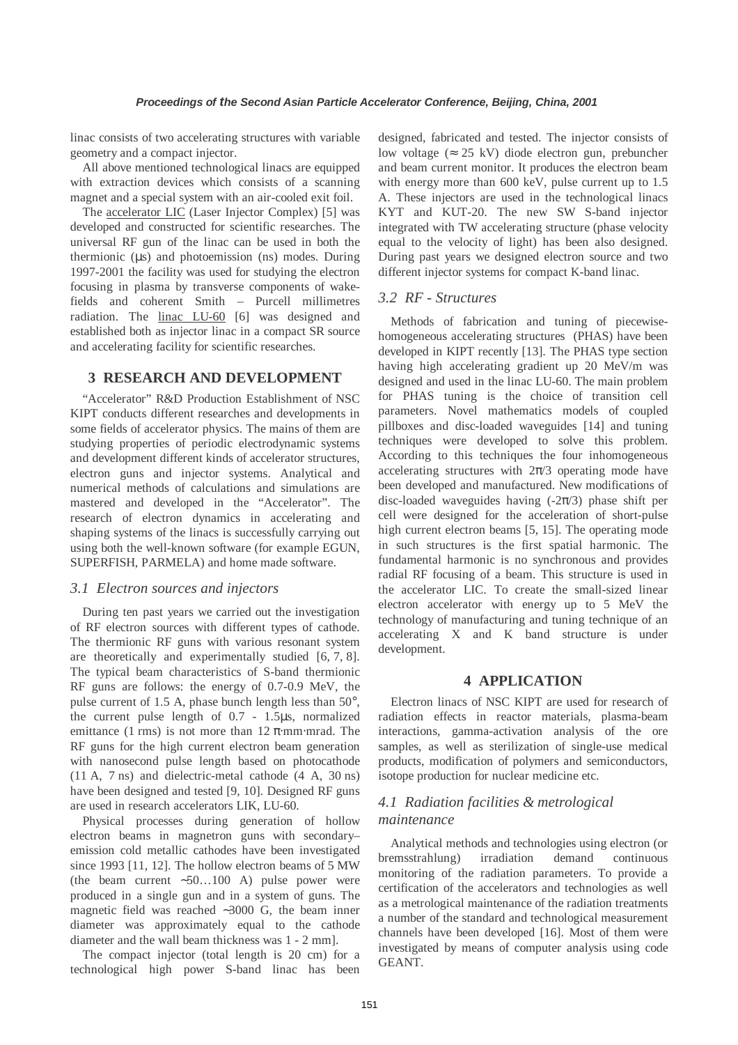linac consists of two accelerating structures with variable geometry and a compact injector.

All above mentioned technological linacs are equipped with extraction devices which consists of a scanning magnet and a special system with an air-cooled exit foil.

The accelerator LIC (Laser Injector Complex) [5] was developed and constructed for scientific researches. The universal RF gun of the linac can be used in both the thermionic  $(\mu s)$  and photoemission (ns) modes. During 1997-2001 the facility was used for studying the electron focusing in plasma by transverse components of wakefields and coherent Smith – Purcell millimetres radiation. The linac LU-60 [6] was designed and established both as injector linac in a compact SR source and accelerating facility for scientific researches.

## **3 RESEARCH AND DEVELOPMENT**

"Accelerator" R&D Production Establishment of NSC KIPT conducts different researches and developments in some fields of accelerator physics. The mains of them are studying properties of periodic electrodynamic systems and development different kinds of accelerator structures, electron guns and injector systems. Analytical and numerical methods of calculations and simulations are mastered and developed in the "Accelerator". The research of electron dynamics in accelerating and shaping systems of the linacs is successfully carrying out using both the well-known software (for example EGUN, SUPERFISH, PARMELA) and home made software.

## *3.1 Electron sources and injectors*

During ten past years we carried out the investigation of RF electron sources with different types of cathode. The thermionic RF guns with various resonant system are theoretically and experimentally studied [6, 7, 8]. The typical beam characteristics of S-band thermionic RF guns are follows: the energy of 0.7-0.9 MeV, the pulse current of 1.5 A, phase bunch length less than 50°, the current pulse length of 0.7 - 1.5µs, normalized emittance (1 rms) is not more than  $12 \pi$  mm⋅mrad. The RF guns for the high current electron beam generation with nanosecond pulse length based on photocathode (11 A, 7 ns) and dielectric-metal cathode (4 A, 30 ns) have been designed and tested [9, 10]. Designed RF guns are used in research accelerators LIK, LU-60.

Physical processes during generation of hollow electron beams in magnetron guns with secondary– emission cold metallic cathodes have been investigated since 1993 [11, 12]. The hollow electron beams of 5 MW (the beam current ∼50…100 A) pulse power were produced in a single gun and in a system of guns. The magnetic field was reached ∼3000 G, the beam inner diameter was approximately equal to the cathode diameter and the wall beam thickness was 1 - 2 mm].

The compact injector (total length is 20 cm) for a technological high power S-band linac has been designed, fabricated and tested. The injector consists of low voltage ( $\approx 25$  kV) diode electron gun, prebuncher and beam current monitor. It produces the electron beam with energy more than 600 keV, pulse current up to 1.5 A. These injectors are used in the technological linacs KYT and KUT-20. The new SW S-band injector integrated with TW accelerating structure (phase velocity equal to the velocity of light) has been also designed. During past years we designed electron source and two different injector systems for compact K-band linac.

# *3.2 RF - Structures*

Methods of fabrication and tuning of piecewisehomogeneous accelerating structures (PHAS) have been developed in KIPT recently [13]. The PHAS type section having high accelerating gradient up 20 MeV/m was designed and used in the linac LU-60. The main problem for PHAS tuning is the choice of transition cell parameters. Novel mathematics models of coupled pillboxes and disc-loaded waveguides [14] and tuning techniques were developed to solve this problem. According to this techniques the four inhomogeneous accelerating structures with  $2\pi/3$  operating mode have been developed and manufactured. New modifications of disc-loaded waveguides having  $(-2\pi/3)$  phase shift per cell were designed for the acceleration of short-pulse high current electron beams [5, 15]. The operating mode in such structures is the first spatial harmonic. The fundamental harmonic is no synchronous and provides radial RF focusing of a beam. This structure is used in the accelerator LIC. To create the small-sized linear electron accelerator with energy up to 5 MeV the technology of manufacturing and tuning technique of an accelerating X and K band structure is under development.

### **4 APPLICATION**

Electron linacs of NSC KIPT are used for research of radiation effects in reactor materials, plasma-beam interactions, gamma-activation analysis of the ore samples, as well as sterilization of single-use medical products, modification of polymers and semiconductors, isotope production for nuclear medicine etc.

# *4.1 Radiation facilities & metrological maintenance*

Analytical methods and technologies using electron (or bremsstrahlung) irradiation demand continuous monitoring of the radiation parameters. To provide a certification of the accelerators and technologies as well as a metrological maintenance of the radiation treatments a number of the standard and technological measurement channels have been developed [16]. Most of them were investigated by means of computer analysis using code GEANT.